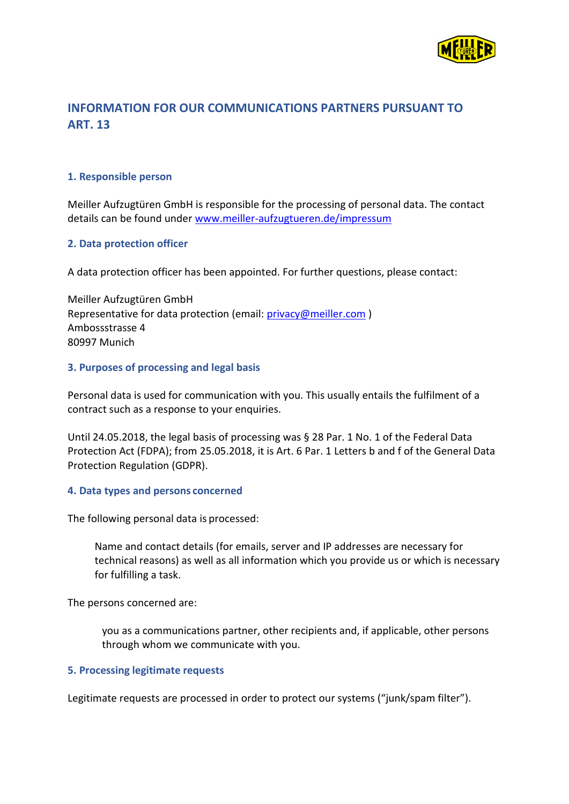

# **INFORMATION FOR OUR COMMUNICATIONS PARTNERS PURSUANT TO ART. 13**

## **1. Responsible person**

Meiller Aufzugtüren GmbH is responsible for the processing of personal data. The contact details can be found under [www.meiller-aufzugtueren.de/impressum](http://www.meiller-aufzugtueren.de/impressum)

## **2. Data protection officer**

A data protection officer has been appointed. For further questions, please contact:

Meiller Aufzugtüren GmbH Representative for data protection (email: [privacy@meiller.com](mailto:privacy@meiller.com)) Ambossstrasse 4 80997 Munich

## **3. Purposes of processing and legal basis**

Personal data is used for communication with you. This usually entails the fulfilment of a contract such as a response to your enquiries.

Until 24.05.2018, the legal basis of processing was § 28 Par. 1 No. 1 of the Federal Data Protection Act (FDPA); from 25.05.2018, it is Art. 6 Par. 1 Letters b and f of the General Data Protection Regulation (GDPR).

## **4. Data types and persons concerned**

The following personal data is processed:

Name and contact details (for emails, server and IP addresses are necessary for technical reasons) as well as all information which you provide us or which is necessary for fulfilling a task.

The persons concerned are:

you as a communications partner, other recipients and, if applicable, other persons through whom we communicate with you.

## **5. Processing legitimate requests**

Legitimate requests are processed in order to protect our systems ("junk/spam filter").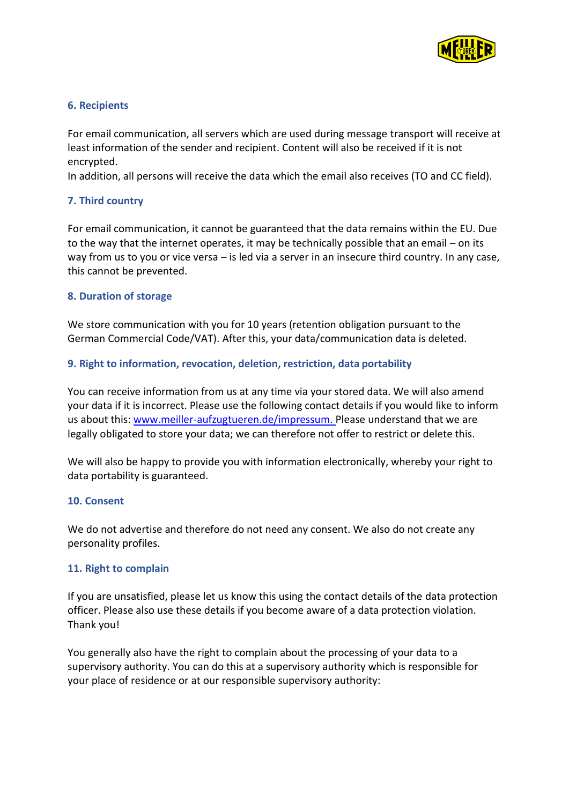

## **6. Recipients**

For email communication, all servers which are used during message transport will receive at least information of the sender and recipient. Content will also be received if it is not encrypted.

In addition, all persons will receive the data which the email also receives (TO and CC field).

# **7. Third country**

For email communication, it cannot be guaranteed that the data remains within the EU. Due to the way that the internet operates, it may be technically possible that an email – on its way from us to you or vice versa – is led via a server in an insecure third country. In any case, this cannot be prevented.

# **8. Duration of storage**

We store communication with you for 10 years (retention obligation pursuant to the German Commercial Code/VAT). After this, your data/communication data is deleted.

# **9. Right to information, revocation, deletion, restriction, data portability**

You can receive information from us at any time via your stored data. We will also amend your data if it is incorrect. Please use the following contact details if you would like to inform us about this[: www.meiller-aufzugtueren.de/impressum. P](http://www.meiller-aufzugtueren.de/impressum.)lease understand that we are legally obligated to store your data; we can therefore not offer to restrict or delete this.

We will also be happy to provide you with information electronically, whereby your right to data portability is guaranteed.

## **10. Consent**

We do not advertise and therefore do not need any consent. We also do not create any personality profiles.

## **11. Right to complain**

If you are unsatisfied, please let us know this using the contact details of the data protection officer. Please also use these details if you become aware of a data protection violation. Thank you!

You generally also have the right to complain about the processing of your data to a supervisory authority. You can do this at a supervisory authority which is responsible for your place of residence or at our responsible supervisory authority: